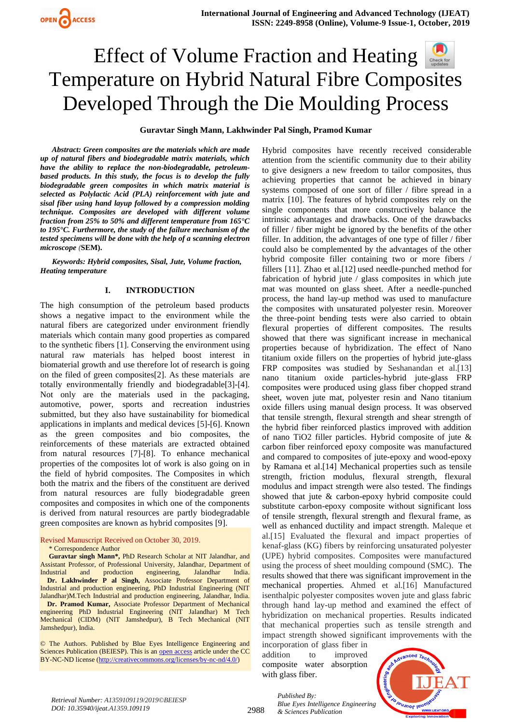**Guravtar Singh Mann, Lakhwinder Pal Singh, Pramod Kumar**

*Abstract: Green composites are the materials which are made up of natural fibers and biodegradable matrix materials, which have the ability to replace the non-biodegradable, petroleumbased products. In this study, the focus is to develop the fully biodegradable green composites in which matrix material is selected as Polylactic Acid (PLA) reinforcement with jute and sisal fiber using hand layup followed by a compression molding technique. Composites are developed with different volume fraction from 25% to 50% and different temperature from 165°C to 195°C. Furthermore, the study of the failure mechanism of the tested specimens will be done with the help of a* **s***canning electron microscope (***SEM).**

*Keywords: Hybrid composites, Sisal, Jute, Volume fraction, Heating temperature*

## **I. INTRODUCTION**

The high consumption of the petroleum based products shows a negative impact to the environment while the natural fibers are categorized under environment friendly materials which contain many good properties as compared to the synthetic fibers [1]. Conserving the environment using natural raw materials has helped boost interest in biomaterial growth and use therefore lot of research is going on the filed of green composites[2]. As these materials are totally environmentally friendly and biodegradable[3]-[4]. Not only are the materials used in the packaging, automotive, power, sports and recreation industries submitted, but they also have sustainability for biomedical applications in implants and medical devices [5]-[6]. Known as the green composites and bio composites, the reinforcements of these materials are extracted obtained from natural resources [7]-[8]. To enhance mechanical properties of the composites lot of work is also going on in the field of hybrid composites. The Composites in which both the matrix and the fibers of the constituent are derived from natural resources are fully biodegradable green composites and composites in which one of the components is derived from natural resources are partly biodegradable green composites are known as hybrid composites [9].

#### Revised Manuscript Received on October 30, 2019.

\* Correspondence Author

**Guravtar singh Mann\*,** PhD Research Scholar at NIT Jalandhar, and Assistant Professor, of Professional University, Jalandhar, Department of Industrial and production engineering, Jalandhar India.  **Dr. Lakhwinder P al Singh,** Associate Professor Department of Industrial and production engineering, PhD Industrial Engineering (NIT Jalandhar)M.Tech Industrial and production engineering, Jalandhar, India.

 **Dr. Pramod Kumar,** Associate Professor Department of Mechanical engineering PhD Industrial Engineering (NIT Jalandhar) M Tech Mechanical (CIDM) (NIT Jamshedpur), B Tech Mechanical (NIT Jamshedpur), India.

© The Authors. Published by Blue Eyes Intelligence Engineering and Sciences Publication (BEIESP). This is an [open access](https://www.openaccess.nl/en/open-publications) article under the CC BY-NC-ND license [\(http://creativecommons.org/licenses/by-nc-nd/4.0/\)](http://creativecommons.org/licenses/by-nc-nd/4.0/)

Hybrid composites have recently received considerable attention from the scientific community due to their ability to give designers a new freedom to tailor composites, thus achieving properties that cannot be achieved in binary systems composed of one sort of filler / fibre spread in a matrix [10]. The features of hybrid composites rely on the single components that more constructively balance the intrinsic advantages and drawbacks. One of the drawbacks of filler / fiber might be ignored by the benefits of the other filler. In addition, the advantages of one type of filler / fiber could also be complemented by the advantages of the other hybrid composite filler containing two or more fibers / fillers [11]. Zhao et al.[12] used needle-punched method for fabrication of hybrid jute / glass composites in which jute mat was mounted on glass sheet. After a needle-punched process, the hand lay-up method was used to manufacture the composites with unsaturated polyester resin. Moreover the three-point bending tests were also carried to obtain flexural properties of different composites. The results showed that there was significant increase in mechanical properties because of hybridization. The effect of Nano titanium oxide fillers on the properties of hybrid jute-glass FRP composites was studied by Seshanandan et al.[13] nano titanium oxide particles-hybrid jute-glass FRP composites were produced using glass fiber chopped strand sheet, woven jute mat, polyester resin and Nano titanium oxide fillers using manual design process. It was observed that tensile strength, flexural strength and shear strength of the hybrid fiber reinforced plastics improved with addition of nano TiO2 filler particles. Hybrid composite of jute & carbon fiber reinforced epoxy composite was manufactured and compared to composites of jute-epoxy and wood-epoxy by Ramana et al.[14] Mechanical properties such as tensile strength, friction modulus, flexural strength, flexural modulus and impact strength were also tested. The findings showed that jute & carbon-epoxy hybrid composite could substitute carbon-epoxy composite without significant loss of tensile strength, flexural strength and flexural frame, as well as enhanced ductility and impact strength. Maleque et al.[15] Evaluated the flexural and impact properties of kenaf-glass (KG) fibers by reinforcing unsaturated polyester (UPE) hybrid composites. Composites were manufactured using the process of sheet moulding compound (SMC). The results showed that there was significant improvement in the mechanical properties. Ahmed et al.[16] Manufactured isenthalpic polyester composites woven jute and glass fabric through hand lay-up method and examined the effect of hybridization on mechanical properties. Results indicated that mechanical properties such as tensile strength and impact strength showed significant improvements with the

incorporation of glass fiber in addition to improved composite water absorption with glass fiber.



*Retrieval Number: A1359109119/2019©BEIESP DOI: 10.35940/ijeat.A1359.109119*

2988

*Published By: Blue Eyes Intelligence Engineering & Sciences Publication*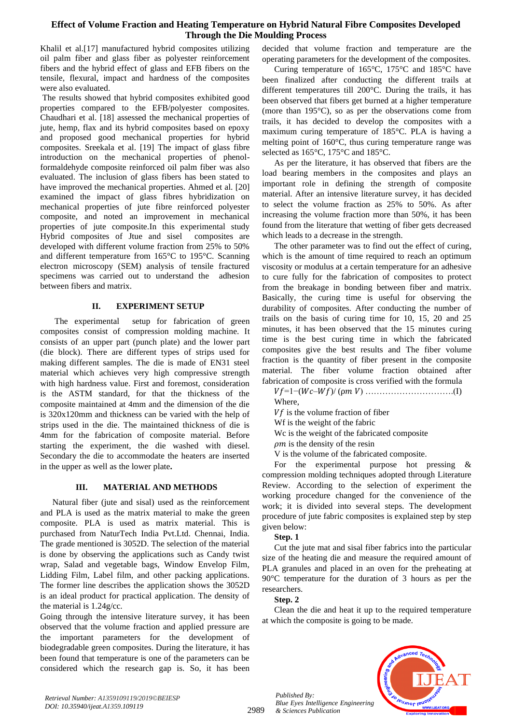Khalil et al.[17] manufactured hybrid composites utilizing oil palm fiber and glass fiber as polyester reinforcement fibers and the hybrid effect of glass and EFB fibers on the tensile, flexural, impact and hardness of the composites were also evaluated.

The results showed that hybrid composites exhibited good properties compared to the EFB/polyester composites. Chaudhari et al. [18] assessed the mechanical properties of jute, hemp, flax and its hybrid composites based on epoxy and proposed good mechanical properties for hybrid composites. Sreekala et al. [19] The impact of glass fibre introduction on the mechanical properties of phenolformaldehyde composite reinforced oil palm fiber was also evaluated. The inclusion of glass fibers has been stated to have improved the mechanical properties. Ahmed et al. [20] examined the impact of glass fibres hybridization on mechanical properties of jute fibre reinforced polyester composite, and noted an improvement in mechanical properties of jute composite.In this experimental study Hybrid composites of Jtue and sisel composites are developed with different volume fraction from 25% to 50% and different temperature from 165°C to 195°C. Scanning electron microscopy (SEM) analysis of tensile fractured specimens was carried out to understand the adhesion between fibers and matrix.

## **II. EXPERIMENT SETUP**

The experimental setup for fabrication of green composites consist of compression molding machine. It consists of an upper part (punch plate) and the lower part (die block). There are different types of strips used for making different samples. The die is made of EN31 steel material which achieves very high compressive strength with high hardness value. First and foremost, consideration is the ASTM standard, for that the thickness of the composite maintained at 4mm and the dimension of the die is 320x120mm and thickness can be varied with the help of strips used in the die. The maintained thickness of die is 4mm for the fabrication of composite material. Before starting the experiment, the die washed with diesel. Secondary the die to accommodate the heaters are inserted in the upper as well as the lower plate**.** 

## **III. MATERIAL AND METHODS**

Natural fiber (jute and sisal) used as the reinforcement and PLA is used as the matrix material to make the green composite. PLA is used as matrix material. This is purchased from NaturTech India Pvt.Ltd. Chennai, India. The grade mentioned is 3052D. The selection of the material is done by observing the applications such as Candy twist wrap, Salad and vegetable bags, Window Envelop Film, Lidding Film, Label film, and other packing applications. The former line describes the application shows the 3052D is an ideal product for practical application. The density of the material is 1.24g/cc.

Going through the intensive literature survey, it has been observed that the volume fraction and applied pressure are the important parameters for the development of biodegradable green composites. During the literature, it has been found that temperature is one of the parameters can be considered which the research gap is. So, it has been

decided that volume fraction and temperature are the operating parameters for the development of the composites.

Curing temperature of 165°C, 175°C and 185°C have been finalized after conducting the different trails at different temperatures till 200°C. During the trails, it has been observed that fibers get burned at a higher temperature (more than 195°C), so as per the observations come from trails, it has decided to develop the composites with a maximum curing temperature of 185°C. PLA is having a melting point of 160°C, thus curing temperature range was selected as 165°C, 175°C and 185°C.

As per the literature, it has observed that fibers are the load bearing members in the composites and plays an important role in defining the strength of composite material. After an intensive literature survey, it has decided to select the volume fraction as 25% to 50%. As after increasing the volume fraction more than 50%, it has been found from the literature that wetting of fiber gets decreased which leads to a decrease in the strength.

The other parameter was to find out the effect of curing, which is the amount of time required to reach an optimum viscosity or modulus at a certain temperature for an adhesive to cure fully for the fabrication of composites to protect from the breakage in bonding between fiber and matrix. Basically, the curing time is useful for observing the durability of composites. After conducting the number of trails on the basis of curing time for 10, 15, 20 and 25 minutes, it has been observed that the 15 minutes curing time is the best curing time in which the fabricated composites give the best results and The fiber volume fraction is the quantity of fiber present in the composite material. The fiber volume fraction obtained after fabrication of composite is cross verified with the formula

=1−(–)/ (⍴ ) ………………………….(I)

Where,

 $Vf$  is the volume fraction of fiber Wf is the weight of the fabric

- Wc is the weight of the fabricated composite
- $\rho m$  is the density of the resin

V is the volume of the fabricated composite.

For the experimental purpose hot pressing & compression molding techniques adopted through Literature Review. According to the selection of experiment the working procedure changed for the convenience of the work; it is divided into several steps. The development procedure of jute fabric composites is explained step by step given below:

**Step. 1**

Cut the jute mat and sisal fiber fabrics into the particular size of the heating die and measure the required amount of PLA granules and placed in an oven for the preheating at 90°C temperature for the duration of 3 hours as per the researchers.

## **Step. 2**

Clean the die and heat it up to the required temperature at which the composite is going to be made.



*Published By: Blue Eyes Intelligence Engineering & Sciences Publication* 

2989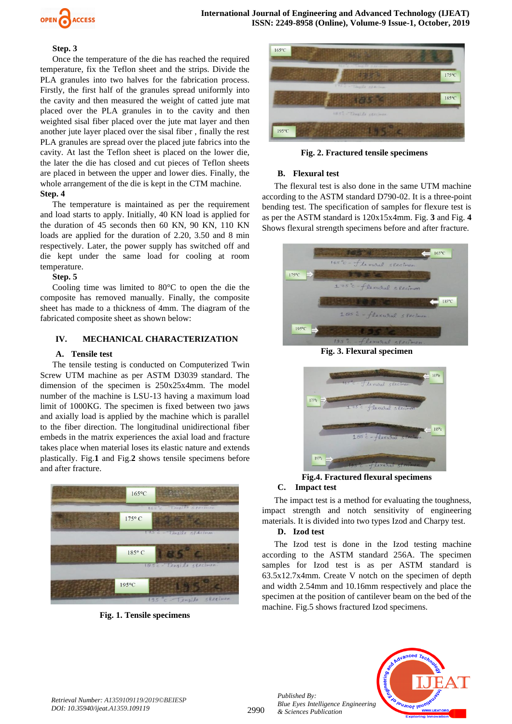

#### **Step. 3**

Once the temperature of the die has reached the required temperature, fix the Teflon sheet and the strips. Divide the PLA granules into two halves for the fabrication process. Firstly, the first half of the granules spread uniformly into the cavity and then measured the weight of catted jute mat placed over the PLA granules in to the cavity and then weighted sisal fiber placed over the jute mat layer and then another jute layer placed over the sisal fiber , finally the rest PLA granules are spread over the placed jute fabrics into the cavity. At last the Teflon sheet is placed on the lower die, the later the die has closed and cut pieces of Teflon sheets are placed in between the upper and lower dies. Finally, the whole arrangement of the die is kept in the CTM machine.

## **Step. 4**

The temperature is maintained as per the requirement and load starts to apply. Initially, 40 KN load is applied for the duration of 45 seconds then 60 KN, 90 KN, 110 KN loads are applied for the duration of 2.20, 3.50 and 8 min respectively. Later, the power supply has switched off and die kept under the same load for cooling at room temperature.

#### **Step. 5**

Cooling time was limited to 80°C to open the die the composite has removed manually. Finally, the composite sheet has made to a thickness of 4mm. The diagram of the fabricated composite sheet as shown below:

## **IV. MECHANICAL CHARACTERIZATION**

## **A. Tensile test**

The tensile testing is conducted on Computerized Twin Screw UTM machine as per ASTM D3039 standard. The dimension of the specimen is 250x25x4mm. The model number of the machine is LSU-13 having a maximum load limit of 1000KG. The specimen is fixed between two jaws and axially load is applied by the machine which is parallel to the fiber direction. The longitudinal unidirectional fiber embeds in the matrix experiences the axial load and fracture takes place when material loses its elastic nature and extends plastically. Fig.**1** and Fig.**2** shows tensile specimens before and after fracture.



**Fig. 1. Tensile specimens**



**Fig. 2. Fractured tensile specimens**

## **B. Flexural test**

The flexural test is also done in the same UTM machine according to the ASTM standard D790-02. It is a three-point bending test. The specification of samples for flexure test is as per the ASTM standard is 120x15x4mm. Fig. **3** and Fig. **4** Shows flexural strength specimens before and after fracture.



**Fig. 3. Flexural specimen**



#### **Fig.4. Fractured flexural specimens C. Impact test**

The impact test is a method for evaluating the toughness, impact strength and notch sensitivity of engineering materials. It is divided into two types Izod and Charpy test.

## **D. Izod test**

*Published By:*

*& Sciences Publication* 

The Izod test is done in the Izod testing machine according to the ASTM standard 256A. The specimen samples for Izod test is as per ASTM standard is 63.5x12.7x4mm. Create V notch on the specimen of depth and width 2.54mm and 10.16mm respectively and place the specimen at the position of cantilever beam on the bed of the machine. Fig.5 shows fractured Izod specimens.

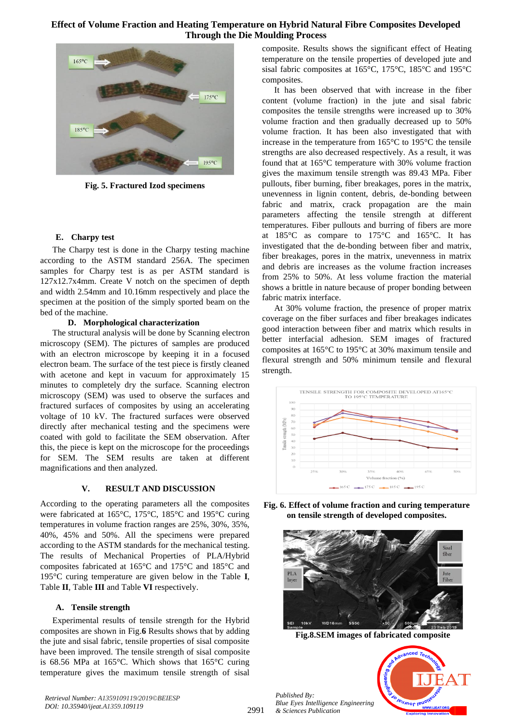

**Fig. 5. Fractured Izod specimens**

## **E. Charpy test**

The Charpy test is done in the Charpy testing machine according to the ASTM standard 256A. The specimen samples for Charpy test is as per ASTM standard is 127x12.7x4mm. Create V notch on the specimen of depth and width 2.54mm and 10.16mm respectively and place the specimen at the position of the simply sported beam on the bed of the machine.

## **D. Morphological characterization**

The structural analysis will be done by Scanning electron microscopy (SEM). The pictures of samples are produced with an electron microscope by keeping it in a focused electron beam. The surface of the test piece is firstly cleaned with acetone and kept in vacuum for approximately 15 minutes to completely dry the surface. Scanning electron microscopy (SEM) was used to observe the surfaces and fractured surfaces of composites by using an accelerating voltage of 10 kV. The fractured surfaces were observed directly after mechanical testing and the specimens were coated with gold to facilitate the SEM observation. After this, the piece is kept on the microscope for the proceedings for SEM. The SEM results are taken at different magnifications and then analyzed.

## **V. RESULT AND DISCUSSION**

According to the operating parameters all the composites were fabricated at 165°C, 175°C, 185°C and 195°C curing temperatures in volume fraction ranges are 25%, 30%, 35%, 40%, 45% and 50%. All the specimens were prepared according to the ASTM standards for the mechanical testing. The results of Mechanical Properties of PLA/Hybrid composites fabricated at 165°C and 175°C and 185°C and 195°C curing temperature are given below in the Table **I**, Table **II**, Table **III** and Table **VI** respectively.

## **A. Tensile strength**

Experimental results of tensile strength for the Hybrid composites are shown in Fig.**6** Results shows that by adding the jute and sisal fabric, tensile properties of sisal composite have been improved. The tensile strength of sisal composite is 68.56 MPa at 165°C. Which shows that 165°C curing temperature gives the maximum tensile strength of sisal composite. Results shows the significant effect of Heating temperature on the tensile properties of developed jute and sisal fabric composites at 165°C, 175°C, 185°C and 195°C composites.

It has been observed that with increase in the fiber content (volume fraction) in the jute and sisal fabric composites the tensile strengths were increased up to 30% volume fraction and then gradually decreased up to 50% volume fraction. It has been also investigated that with increase in the temperature from 165°C to 195°C the tensile strengths are also decreased respectively. As a result, it was found that at 165°C temperature with 30% volume fraction gives the maximum tensile strength was 89.43 MPa. Fiber pullouts, fiber burning, fiber breakages, pores in the matrix, unevenness in lignin content, debris, de-bonding between fabric and matrix, crack propagation are the main parameters affecting the tensile strength at different temperatures. Fiber pullouts and burring of fibers are more at 185°C as compare to 175°C and 165°C. It has investigated that the de-bonding between fiber and matrix, fiber breakages, pores in the matrix, unevenness in matrix and debris are increases as the volume fraction increases from 25% to 50%. At less volume fraction the material shows a brittle in nature because of proper bonding between fabric matrix interface.

At 30% volume fraction, the presence of proper matrix coverage on the fiber surfaces and fiber breakages indicates good interaction between fiber and matrix which results in better interfacial adhesion. SEM images of fractured composites at 165°C to 195°C at 30% maximum tensile and flexural strength and 50% minimum tensile and flexural strength.



**Fig. 6. Effect of volume fraction and curing temperature on tensile strength of developed composites.**



**Fig.8.SEM images of fabricated composite**



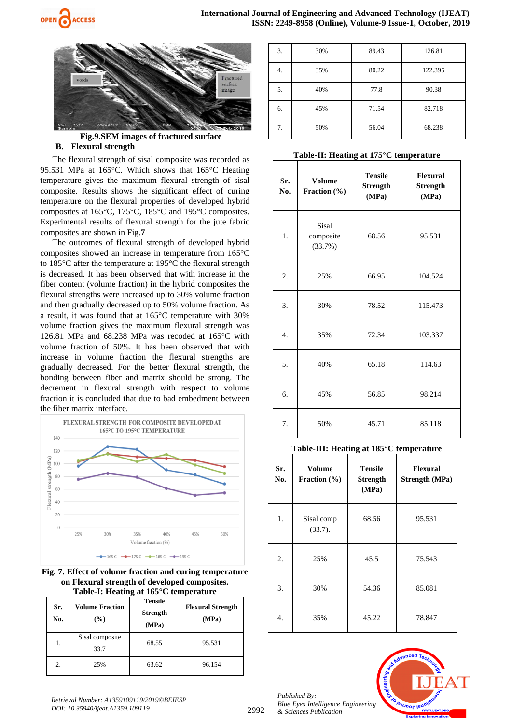



**Fig.9.SEM images of fractured surface B. Flexural strength** 

The flexural strength of sisal composite was recorded as 95.531 MPa at 165°C. Which shows that 165°C Heating temperature gives the maximum flexural strength of sisal composite. Results shows the significant effect of curing temperature on the flexural properties of developed hybrid composites at 165°C, 175°C, 185°C and 195°C composites. Experimental results of flexural strength for the jute fabric composites are shown in Fig.**7**

The outcomes of flexural strength of developed hybrid composites showed an increase in temperature from 165°C to 185°C after the temperature at 195°C the flexural strength is decreased. It has been observed that with increase in the fiber content (volume fraction) in the hybrid composites the flexural strengths were increased up to 30% volume fraction and then gradually decreased up to 50% volume fraction. As a result, it was found that at 165°C temperature with 30% volume fraction gives the maximum flexural strength was 126.81 MPa and 68.238 MPa was recoded at 165°C with volume fraction of 50%. It has been observed that with increase in volume fraction the flexural strengths are gradually decreased. For the better flexural strength, the bonding between fiber and matrix should be strong. The decrement in flexural strength with respect to volume fraction it is concluded that due to bad embedment between the fiber matrix interface.



**Fig. 7. Effect of volume fraction and curing temperature on Flexural strength of developed composites. Table-I: Heating at 165°C temperature**

| Sr.<br>No. | <b>Volume Fraction</b><br>(%) | -<br>Tensile<br><b>Strength</b><br>(MPa) | <b>Flexural Strength</b><br>(MPa) |
|------------|-------------------------------|------------------------------------------|-----------------------------------|
| 1.         | Sisal composite<br>33.7       | 68.55                                    | 95.531                            |
| 2.         | 25%                           | 63.62                                    | 96.154                            |

| 3. | 30% | 89.43 | 126.81  |
|----|-----|-------|---------|
| 4. | 35% | 80.22 | 122.395 |
| 5. | 40% | 77.8  | 90.38   |
| 6. | 45% | 71.54 | 82.718  |
| 7. | 50% | 56.04 | 68.238  |

#### **Table-II: Heating at 175°C temperature**

| Sr.<br>No.       | <b>Volume</b><br>Fraction (%) | <b>Tensile</b><br><b>Strength</b><br>(MPa) | Flexural<br><b>Strength</b><br>(MPa) |
|------------------|-------------------------------|--------------------------------------------|--------------------------------------|
| 1.               | Sisal<br>composite<br>(33.7%) | 68.56                                      | 95.531                               |
| 2.               | 25%                           | 66.95                                      | 104.524                              |
| 3.               | 30%                           | 78.52                                      | 115.473                              |
| $\overline{4}$ . | 35%                           | 72.34                                      | 103.337                              |
| 5.               | 40%                           | 65.18                                      | 114.63                               |
| б.               | 45%                           | 56.85                                      | 98.214                               |
| 7.               | 50%                           | 45.71                                      | 85.118                               |

## **Table-III: Heating at 185°C temperature**

| Sr.<br>No. | Volume<br>Fraction $(\% )$ | Tensile<br><b>Strength</b><br>(MPa) | <b>Flexural</b><br><b>Strength (MPa)</b> |
|------------|----------------------------|-------------------------------------|------------------------------------------|
| 1.         | Sisal comp<br>(33.7).      | 68.56                               | 95.531                                   |
| 2.         | 25%                        | 45.5                                | 75.543                                   |
| 3.         | 30%                        | 54.36                               | 85.081                                   |
| 4.         | 35%                        | 45.22                               | 78.847                                   |



2992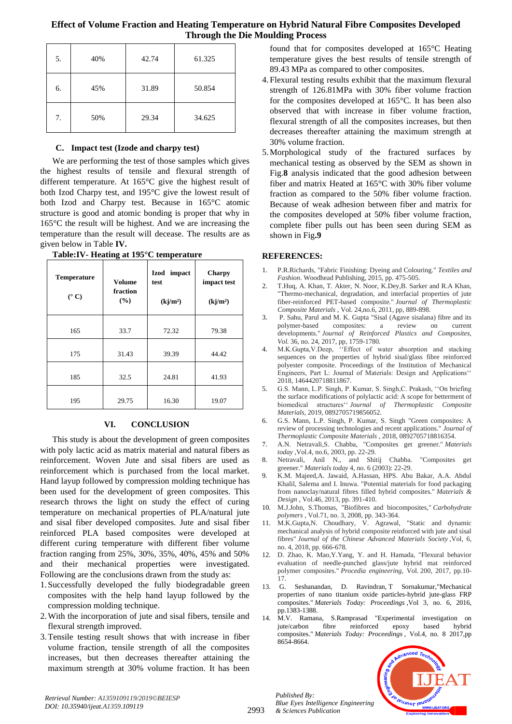| 5. | 40% | 42.74 | 61.325 |
|----|-----|-------|--------|
| 6. | 45% | 31.89 | 50.854 |
| 7. | 50% | 29.34 | 34.625 |

## **C. Impact test (Izode and charpy test)**

We are performing the test of those samples which gives the highest results of tensile and flexural strength of different temperature. At 165°C give the highest result of both Izod Charpy test, and 195°C give the lowest result of both Izod and Charpy test. Because in 165°C atomic structure is good and atomic bonding is proper that why in 165°C the result will be highest. And we are increasing the temperature than the result will decease. The results are as given below in Table **IV.**

| <b>Temperature</b><br>$(^{\circ}C)$ | <b>Volume</b><br>fraction<br>(%) | Izod impact<br>test<br>(kj/m <sup>2</sup> ) | <b>Charpy</b><br>impact test<br>(kj/m <sup>2</sup> ) |
|-------------------------------------|----------------------------------|---------------------------------------------|------------------------------------------------------|
| 165                                 | 33.7                             | 72.32                                       | 79.38                                                |
| 175                                 | 31.43                            | 39.39                                       | 44.42                                                |
| 185                                 | 32.5                             | 24.81                                       | 41.93                                                |
| 195                                 | 29.75                            | 16.30                                       | 19.07                                                |

**Table:IV- Heating at 195°C temperature**

## **VI. CONCLUSION**

This study is about the development of green composites with poly lactic acid as matrix material and natural fibers as reinforcement. Woven Jute and sisal fibers are used as reinforcement which is purchased from the local market. Hand layup followed by compression molding technique has been used for the development of green composites. This research throws the light on study the effect of curing temperature on mechanical properties of PLA/natural jute and sisal fiber developed composites. Jute and sisal fiber reinforced PLA based composites were developed at different curing temperature with different fiber volume fraction ranging from 25%, 30%, 35%, 40%, 45% and 50% and their mechanical properties were investigated. Following are the conclusions drawn from the study as:

- 1.Successfully developed the fully biodegradable green composites with the help hand layup followed by the compression molding technique.
- 2.With the incorporation of jute and sisal fibers, tensile and flexural strength improved.
- 3.Tensile testing result shows that with increase in fiber volume fraction, tensile strength of all the composites increases, but then decreases thereafter attaining the maximum strength at 30% volume fraction. It has been

found that for composites developed at 165°C Heating temperature gives the best results of tensile strength of 89.43 MPa as compared to other composites.

- 4.Flexural testing results exhibit that the maximum flexural strength of 126.81MPa with 30% fiber volume fraction for the composites developed at 165°C. It has been also observed that with increase in fiber volume fraction, flexural strength of all the composites increases, but then decreases thereafter attaining the maximum strength at 30% volume fraction.
- 5.Morphological study of the fractured surfaces by mechanical testing as observed by the SEM as shown in Fig.**8** analysis indicated that the good adhesion between fiber and matrix Heated at 165°C with 30% fiber volume fraction as compared to the 50% fiber volume fraction. Because of weak adhesion between fiber and matrix for the composites developed at 50% fiber volume fraction, complete fiber pulls out has been seen during SEM as shown in Fig**.9**

## **REFERENCES:**

- 1. P.R.Richards, "Fabric Finishing: Dyeing and Colouring." *Textiles and Fashion*. Woodhead Publishing, 2015, pp. 475-505.
- 2. T.Huq, A. Khan, T. Akter, N. Noor, K.Dey,B. Sarker and R.A Khan, "Thermo-mechanical, degradation, and interfacial properties of jute fiber-reinforced PET-based composite." *Journal of Thermoplastic Composite Materials* , Vol. 24,no.6, 2011, pp, 889-898.
- 3. P. Sahu, Parul and M. K. Gupta "Sisal (Agave sisalana) fibre and its polymer-based composites: a review on current developments." *Journal of Reinforced Plastics and Composites, Vol.* 36, no. 24, 2017, pp, 1759-1780.
- 4. M.K.Gupta,V.Deep, ''Effect of water absorption and stacking sequences on the properties of hybrid sisal/glass fibre reinforced polyester composite. Proceedings of the Institution of Mechanical Engineers, Part L: Journal of Materials: Design and Applications'' 2018, 1464420718811867.
- 5. G.S. Mann, L.P. Singh, P. Kumar, S. Singh,C. Prakash, ''On briefing the surface modifications of polylactic acid: A scope for betterment of biomedical structures'' *Journal of Thermoplastic Composite Materials*, 2019, 0892705719856052.
- 6. G.S. Mann, L.P. Singh, P. Kumar, S. Singh "Green composites: A review of processing technologies and recent applications." *Journal of Thermoplastic Composite Materials* , 2018, 0892705718816354.
- 7. A.N. Netravali,S. Chabba, "Composites get greener." *Materials today* ,Vol.4, no.6, 2003, pp. 22-29.
- 8. Netravali, Anil N., and Shitij Chabba. "Composites get greener." *Materials today* 4, no. 6 (2003): 22-29.
- 9. K.M. Majeed,A. Jawaid, A.Hassan, HPS. Abu Bakar, A.A. Abdul Khalil, Salema and I. Inuwa. "Potential materials for food packaging from nanoclay/natural fibres filled hybrid composites." *Materials & Design* , Vol.46, 2013, pp. 391-410.
- 10. M.J.John, S.Thomas, "Biofibres and biocomposites," *Carbohydrate polymers* , Vol.71, no. 3, 2008, pp. 343-364.
- 11. M.K.Gupta,N. Choudhary, V. Agrawal, "Static and dynamic mechanical analysis of hybrid composite reinforced with jute and sisal fibres" *Journal of the Chinese Advanced Materials Society* ,Vol, 6, no. 4, 2018, pp. 666-678.
- 12. D. Zhao, K. Mao,Y.Yang, Y. and H. Hamada, "Flexural behavior evaluation of needle-punched glass/jute hybrid mat reinforced polymer composites." *Procedia engineering,* Vol. 200, 2017, pp.10- 17.
- 13. G. Seshanandan, D. Ravindran, [T Sornakumar,](https://scholar.google.com/citations?user=tDUV5ZwAAAAJ&hl=en&oi=sra)"Mechanical properties of nano titanium oxide particles-hybrid jute-glass FRP composites." *Materials Today: Proceedings* ,Vol 3, no. 6, 2016, pp.1383-1388.
- 14. [M.V. Ramana,](https://scholar.google.com/citations?user=f1LBfeYAAAAJ&hl=en&oi=sra) S.Ramprasad "Experimental investigation on jute/carbon fibre reinforced epoxy based hybrid composites." *Materials Today: Proceedings* , Vol.4, no. 8 2017,pp 8654-8664.



*Retrieval Number: A1359109119/2019©BEIESP DOI: 10.35940/ijeat.A1359.109119*

*Published By:*

*& Sciences Publication*